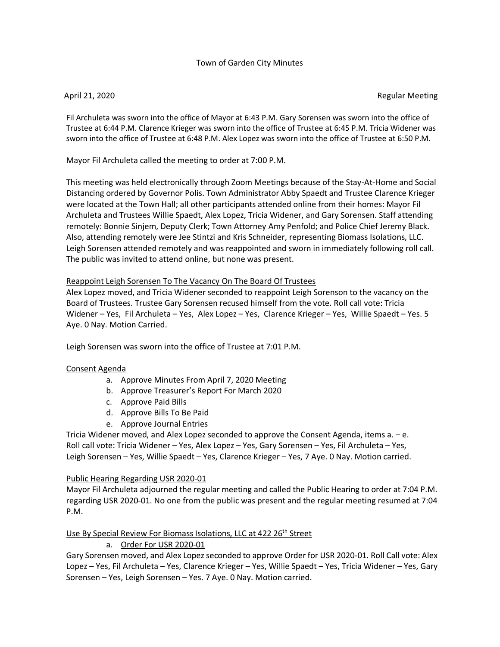## Town of Garden City Minutes

#### April 21, 2020 Regular Meeting

Fil Archuleta was sworn into the office of Mayor at 6:43 P.M. Gary Sorensen was sworn into the office of Trustee at 6:44 P.M. Clarence Krieger was sworn into the office of Trustee at 6:45 P.M. Tricia Widener was sworn into the office of Trustee at 6:48 P.M. Alex Lopez was sworn into the office of Trustee at 6:50 P.M.

Mayor Fil Archuleta called the meeting to order at 7:00 P.M.

This meeting was held electronically through Zoom Meetings because of the Stay-At-Home and Social Distancing ordered by Governor Polis. Town Administrator Abby Spaedt and Trustee Clarence Krieger were located at the Town Hall; all other participants attended online from their homes: Mayor Fil Archuleta and Trustees Willie Spaedt, Alex Lopez, Tricia Widener, and Gary Sorensen. Staff attending remotely: Bonnie Sinjem, Deputy Clerk; Town Attorney Amy Penfold; and Police Chief Jeremy Black. Also, attending remotely were Jee Stintzi and Kris Schneider, representing Biomass Isolations, LLC. Leigh Sorensen attended remotely and was reappointed and sworn in immediately following roll call. The public was invited to attend online, but none was present.

## Reappoint Leigh Sorensen To The Vacancy On The Board Of Trustees

Alex Lopez moved, and Tricia Widener seconded to reappoint Leigh Sorenson to the vacancy on the Board of Trustees. Trustee Gary Sorensen recused himself from the vote. Roll call vote: Tricia Widener – Yes, Fil Archuleta – Yes, Alex Lopez – Yes, Clarence Krieger – Yes, Willie Spaedt – Yes. 5 Aye. 0 Nay. Motion Carried.

Leigh Sorensen was sworn into the office of Trustee at 7:01 P.M.

### Consent Agenda

- a. Approve Minutes From April 7, 2020 Meeting
- b. Approve Treasurer's Report For March 2020
- c. Approve Paid Bills
- d. Approve Bills To Be Paid
- e. Approve Journal Entries

Tricia Widener moved, and Alex Lopez seconded to approve the Consent Agenda, items a. – e. Roll call vote: Tricia Widener – Yes, Alex Lopez – Yes, Gary Sorensen – Yes, Fil Archuleta – Yes, Leigh Sorensen – Yes, Willie Spaedt – Yes, Clarence Krieger – Yes, 7 Aye. 0 Nay. Motion carried.

### Public Hearing Regarding USR 2020-01

Mayor Fil Archuleta adjourned the regular meeting and called the Public Hearing to order at 7:04 P.M. regarding USR 2020-01. No one from the public was present and the regular meeting resumed at 7:04 P.M.

## Use By Special Review For Biomass Isolations, LLC at 422 26<sup>th</sup> Street

# a. Order For USR 2020-01

Gary Sorensen moved, and Alex Lopez seconded to approve Order for USR 2020-01. Roll Call vote: Alex Lopez – Yes, Fil Archuleta – Yes, Clarence Krieger – Yes, Willie Spaedt – Yes, Tricia Widener – Yes, Gary Sorensen – Yes, Leigh Sorensen – Yes. 7 Aye. 0 Nay. Motion carried.